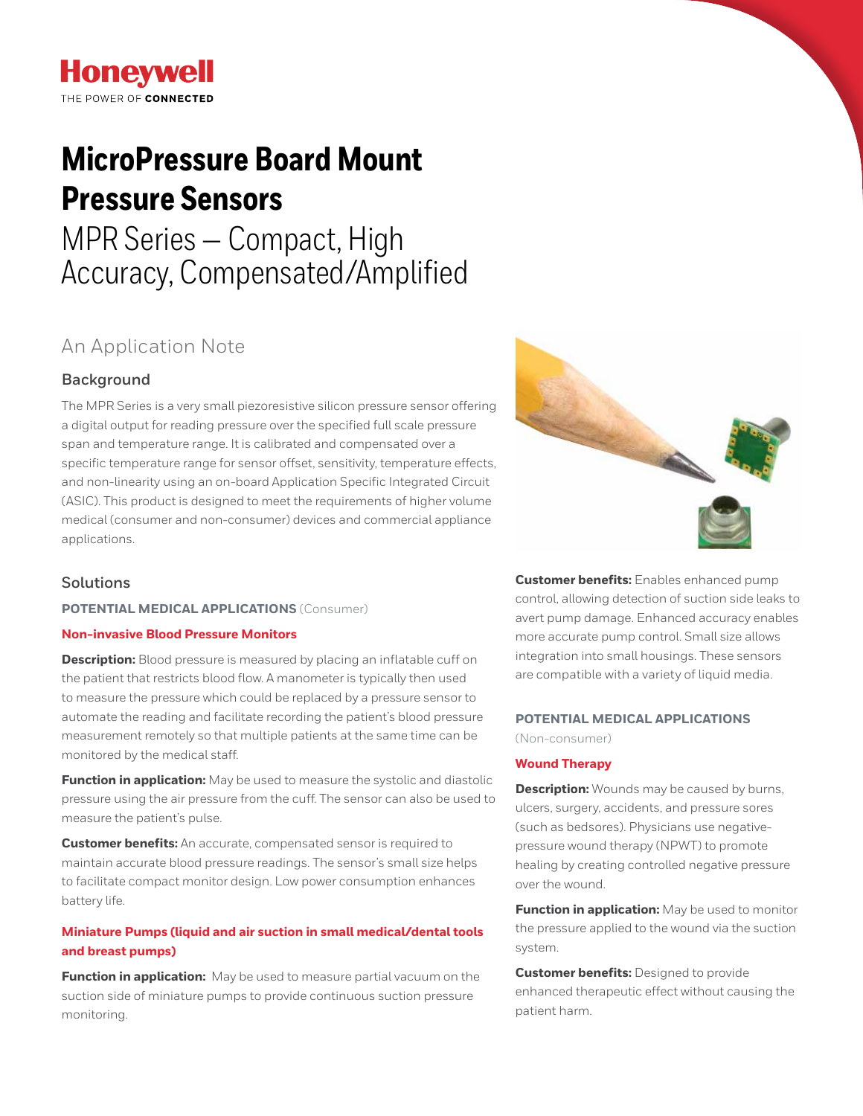## **Honeywell** THE POWER OF CONNECTED

# **MicroPressure Board Mount Pressure Sensors**

# MPR Series — Compact, High Accuracy, Compensated/Amplified

## An Application Note

### **Background**

The MPR Series is a very small piezoresistive silicon pressure sensor offering a digital output for reading pressure over the specified full scale pressure span and temperature range. It is calibrated and compensated over a specific temperature range for sensor offset, sensitivity, temperature effects, and non-linearity using an on-board Application Specific Integrated Circuit (ASIC). This product is designed to meet the requirements of higher volume medical (consumer and non-consumer) devices and commercial appliance applications.

### **Solutions**

#### **POTENTIAL MEDICAL APPLICATIONS** (Consumer)

#### **Non-invasive Blood Pressure Monitors**

**Description:** Blood pressure is measured by placing an inflatable cuff on the patient that restricts blood flow. A manometer is typically then used to measure the pressure which could be replaced by a pressure sensor to automate the reading and facilitate recording the patient's blood pressure measurement remotely so that multiple patients at the same time can be monitored by the medical staff.

**Function in application:** May be used to measure the systolic and diastolic pressure using the air pressure from the cuff. The sensor can also be used to measure the patient's pulse.

**Customer benefits:** An accurate, compensated sensor is required to maintain accurate blood pressure readings. The sensor's small size helps to facilitate compact monitor design. Low power consumption enhances battery life.

#### **Miniature Pumps (liquid and air suction in small medical/dental tools and breast pumps)**

**Function in application:** May be used to measure partial vacuum on the suction side of miniature pumps to provide continuous suction pressure monitoring.



**Customer benefits:** Enables enhanced pump control, allowing detection of suction side leaks to avert pump damage. Enhanced accuracy enables more accurate pump control. Small size allows integration into small housings. These sensors are compatible with a variety of liquid media.

#### **POTENTIAL MEDICAL APPLICATIONS**

(Non-consumer)

#### **Wound Therapy**

**Description:** Wounds may be caused by burns, ulcers, surgery, accidents, and pressure sores (such as bedsores). Physicians use negativepressure wound therapy (NPWT) to promote healing by creating controlled negative pressure over the wound.

**Function in application:** May be used to monitor the pressure applied to the wound via the suction system.

**Customer benefits:** Designed to provide enhanced therapeutic effect without causing the patient harm.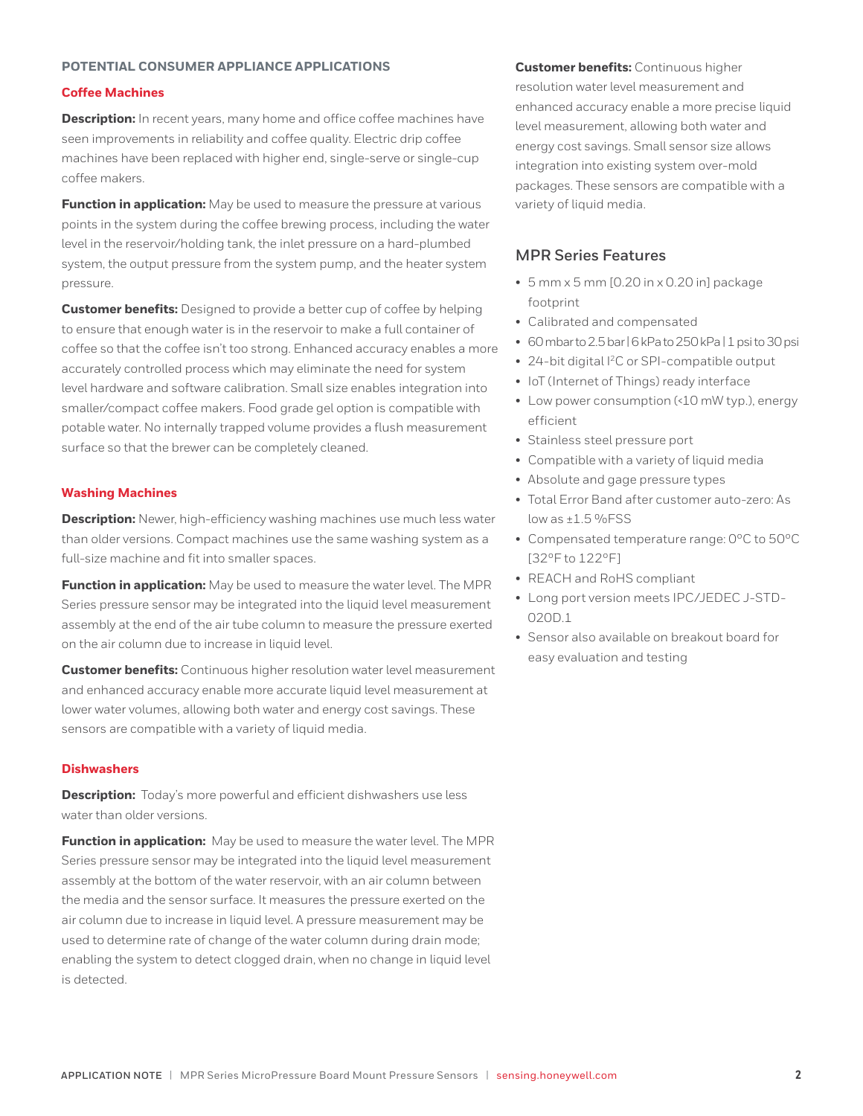#### **POTENTIAL CONSUMER APPLIANCE APPLICATIONS**

#### **Coffee Machines**

**Description:** In recent years, many home and office coffee machines have seen improvements in reliability and coffee quality. Electric drip coffee machines have been replaced with higher end, single-serve or single-cup coffee makers.

**Function in application:** May be used to measure the pressure at various points in the system during the coffee brewing process, including the water level in the reservoir/holding tank, the inlet pressure on a hard-plumbed system, the output pressure from the system pump, and the heater system pressure.

**Customer benefits:** Designed to provide a better cup of coffee by helping to ensure that enough water is in the reservoir to make a full container of coffee so that the coffee isn't too strong. Enhanced accuracy enables a more accurately controlled process which may eliminate the need for system level hardware and software calibration. Small size enables integration into smaller/compact coffee makers. Food grade gel option is compatible with potable water. No internally trapped volume provides a flush measurement surface so that the brewer can be completely cleaned.

#### **Washing Machines**

**Description:** Newer, high-efficiency washing machines use much less water than older versions. Compact machines use the same washing system as a full-size machine and fit into smaller spaces.

**Function in application:** May be used to measure the water level. The MPR Series pressure sensor may be integrated into the liquid level measurement assembly at the end of the air tube column to measure the pressure exerted on the air column due to increase in liquid level.

**Customer benefits:** Continuous higher resolution water level measurement and enhanced accuracy enable more accurate liquid level measurement at lower water volumes, allowing both water and energy cost savings. These sensors are compatible with a variety of liquid media.

#### **Dishwashers**

**Description:** Today's more powerful and efficient dishwashers use less water than older versions.

**Function in application:** May be used to measure the water level. The MPR Series pressure sensor may be integrated into the liquid level measurement assembly at the bottom of the water reservoir, with an air column between the media and the sensor surface. It measures the pressure exerted on the air column due to increase in liquid level. A pressure measurement may be used to determine rate of change of the water column during drain mode; enabling the system to detect clogged drain, when no change in liquid level is detected.

**Customer benefits:** Continuous higher resolution water level measurement and enhanced accuracy enable a more precise liquid level measurement, allowing both water and energy cost savings. Small sensor size allows integration into existing system over-mold packages. These sensors are compatible with a variety of liquid media.

#### **MPR Series Features**

- 5 mm x 5 mm [0.20 in x 0.20 in] package footprint
- Calibrated and compensated
- 60 mbar to 2.5 bar | 6 kPa to 250 kPa | 1 psi to 30 psi
- 24-bit digital I2C or SPI-compatible output
- IoT (Internet of Things) ready interface
- Low power consumption (<10 mW typ.), energy efficient
- Stainless steel pressure port
- Compatible with a variety of liquid media
- Absolute and gage pressure types
- Total Error Band after customer auto-zero: As low as  $\pm 1.5$  %FSS
- Compensated temperature range: 0ºC to 50ºC [32ºF to 122ºF]
- REACH and RoHS compliant
- Long port version meets IPC/JEDEC J-STD-020D.1
- Sensor also available on breakout board for easy evaluation and testing